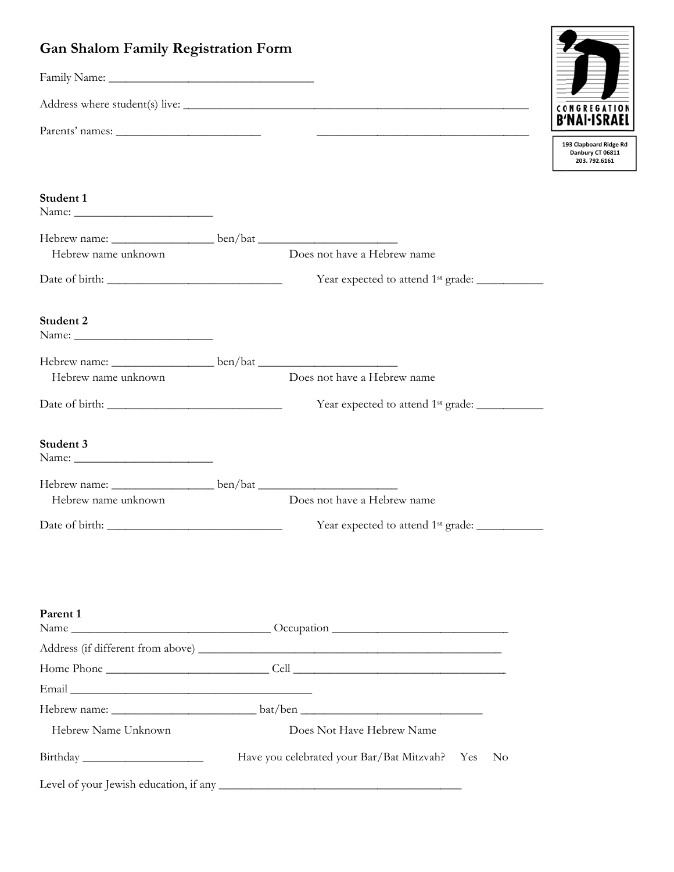## **Gan Shalom Family Registration Form**



| Student 1                                                                                                                                                                                                                                                                                                                                                                                                                  |                                                                |
|----------------------------------------------------------------------------------------------------------------------------------------------------------------------------------------------------------------------------------------------------------------------------------------------------------------------------------------------------------------------------------------------------------------------------|----------------------------------------------------------------|
| Hebrew name: ___________________________ben/bat ________________________________                                                                                                                                                                                                                                                                                                                                           |                                                                |
| Hebrew name unknown                                                                                                                                                                                                                                                                                                                                                                                                        | Does not have a Hebrew name                                    |
|                                                                                                                                                                                                                                                                                                                                                                                                                            | Year expected to attend 1 <sup>st</sup> grade: _____________   |
| Student 2                                                                                                                                                                                                                                                                                                                                                                                                                  |                                                                |
| Hebrew name: __________________________ben/bat _________________________________                                                                                                                                                                                                                                                                                                                                           |                                                                |
| Hebrew name unknown                                                                                                                                                                                                                                                                                                                                                                                                        | Does not have a Hebrew name                                    |
|                                                                                                                                                                                                                                                                                                                                                                                                                            | Year expected to attend 1 <sup>st</sup> grade: _______________ |
| Student 3<br>Name: $\frac{1}{\sqrt{1-\frac{1}{2}}\sqrt{1-\frac{1}{2}}\sqrt{1-\frac{1}{2}}\sqrt{1-\frac{1}{2}}\sqrt{1-\frac{1}{2}}\sqrt{1-\frac{1}{2}}\sqrt{1-\frac{1}{2}}\sqrt{1-\frac{1}{2}}\sqrt{1-\frac{1}{2}}\sqrt{1-\frac{1}{2}}\sqrt{1-\frac{1}{2}}\sqrt{1-\frac{1}{2}}\sqrt{1-\frac{1}{2}}\sqrt{1-\frac{1}{2}}\sqrt{1-\frac{1}{2}}\sqrt{1-\frac{1}{2}}\sqrt{1-\frac{1}{2}}\sqrt{1-\frac{1}{2}}\sqrt{1-\frac{1}{2}}$ |                                                                |
| Hebrew name: __________________________ben/bat _________________________________                                                                                                                                                                                                                                                                                                                                           |                                                                |
| Hebrew name unknown                                                                                                                                                                                                                                                                                                                                                                                                        | Does not have a Hebrew name                                    |
|                                                                                                                                                                                                                                                                                                                                                                                                                            | Year expected to attend 1 <sup>st</sup> grade: ____________    |
|                                                                                                                                                                                                                                                                                                                                                                                                                            |                                                                |
| Parent 1                                                                                                                                                                                                                                                                                                                                                                                                                   |                                                                |
|                                                                                                                                                                                                                                                                                                                                                                                                                            |                                                                |
|                                                                                                                                                                                                                                                                                                                                                                                                                            |                                                                |
|                                                                                                                                                                                                                                                                                                                                                                                                                            |                                                                |
|                                                                                                                                                                                                                                                                                                                                                                                                                            |                                                                |

 $bat/ben$ 

Does Not Have Hebrew Name

Hebrew name:

Hebrew Name Unknown